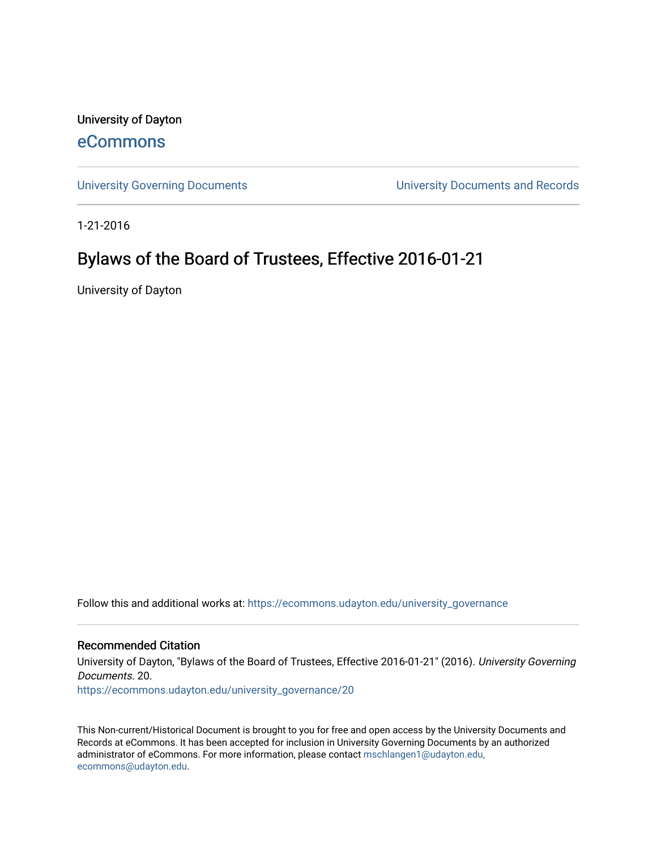University of Dayton

# [eCommons](https://ecommons.udayton.edu/)

[University Governing Documents](https://ecommons.udayton.edu/university_governance) [University Documents and Records](https://ecommons.udayton.edu/ud_documents) 

1-21-2016

# Bylaws of the Board of Trustees, Effective 2016-01-21

University of Dayton

Follow this and additional works at: [https://ecommons.udayton.edu/university\\_governance](https://ecommons.udayton.edu/university_governance?utm_source=ecommons.udayton.edu%2Funiversity_governance%2F20&utm_medium=PDF&utm_campaign=PDFCoverPages) 

#### Recommended Citation

University of Dayton, "Bylaws of the Board of Trustees, Effective 2016-01-21" (2016). University Governing Documents. 20.

[https://ecommons.udayton.edu/university\\_governance/20](https://ecommons.udayton.edu/university_governance/20?utm_source=ecommons.udayton.edu%2Funiversity_governance%2F20&utm_medium=PDF&utm_campaign=PDFCoverPages)

This Non-current/Historical Document is brought to you for free and open access by the University Documents and Records at eCommons. It has been accepted for inclusion in University Governing Documents by an authorized administrator of eCommons. For more information, please contact [mschlangen1@udayton.edu,](mailto:mschlangen1@udayton.edu,%20ecommons@udayton.edu) [ecommons@udayton.edu](mailto:mschlangen1@udayton.edu,%20ecommons@udayton.edu).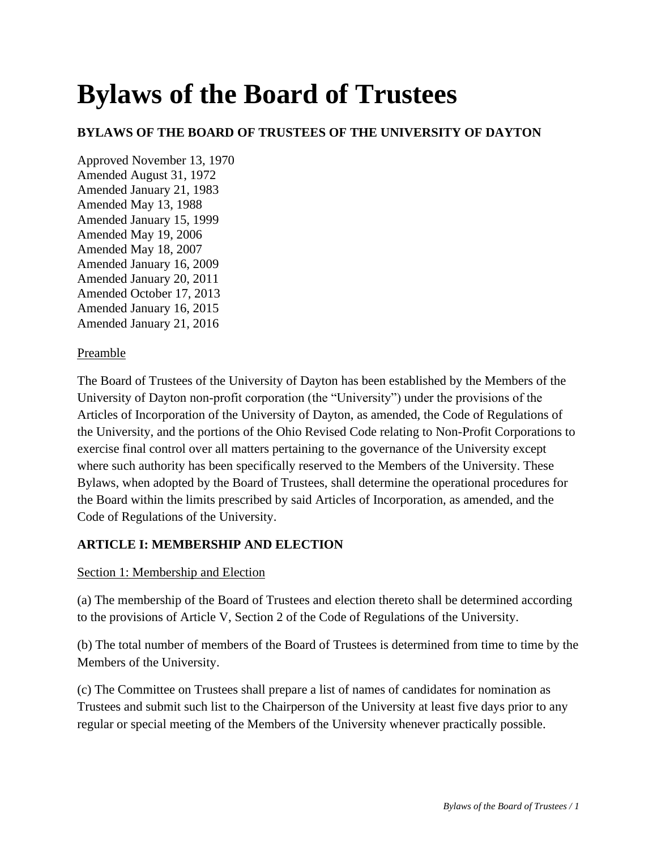# **Bylaws of the Board of Trustees**

## **BYLAWS OF THE BOARD OF TRUSTEES OF THE UNIVERSITY OF DAYTON**

Approved November 13, 1970 Amended August 31, 1972 Amended January 21, 1983 Amended May 13, 1988 Amended January 15, 1999 Amended May 19, 2006 Amended May 18, 2007 Amended January 16, 2009 Amended January 20, 2011 Amended October 17, 2013 Amended January 16, 2015 Amended January 21, 2016

#### Preamble

The Board of Trustees of the University of Dayton has been established by the Members of the University of Dayton non-profit corporation (the "University") under the provisions of the Articles of Incorporation of the University of Dayton, as amended, the Code of Regulations of the University, and the portions of the Ohio Revised Code relating to Non-Profit Corporations to exercise final control over all matters pertaining to the governance of the University except where such authority has been specifically reserved to the Members of the University. These Bylaws, when adopted by the Board of Trustees, shall determine the operational procedures for the Board within the limits prescribed by said Articles of Incorporation, as amended, and the Code of Regulations of the University.

#### **ARTICLE I: MEMBERSHIP AND ELECTION**

#### Section 1: Membership and Election

(a) The membership of the Board of Trustees and election thereto shall be determined according to the provisions of Article V, Section 2 of the Code of Regulations of the University.

(b) The total number of members of the Board of Trustees is determined from time to time by the Members of the University.

(c) The Committee on Trustees shall prepare a list of names of candidates for nomination as Trustees and submit such list to the Chairperson of the University at least five days prior to any regular or special meeting of the Members of the University whenever practically possible.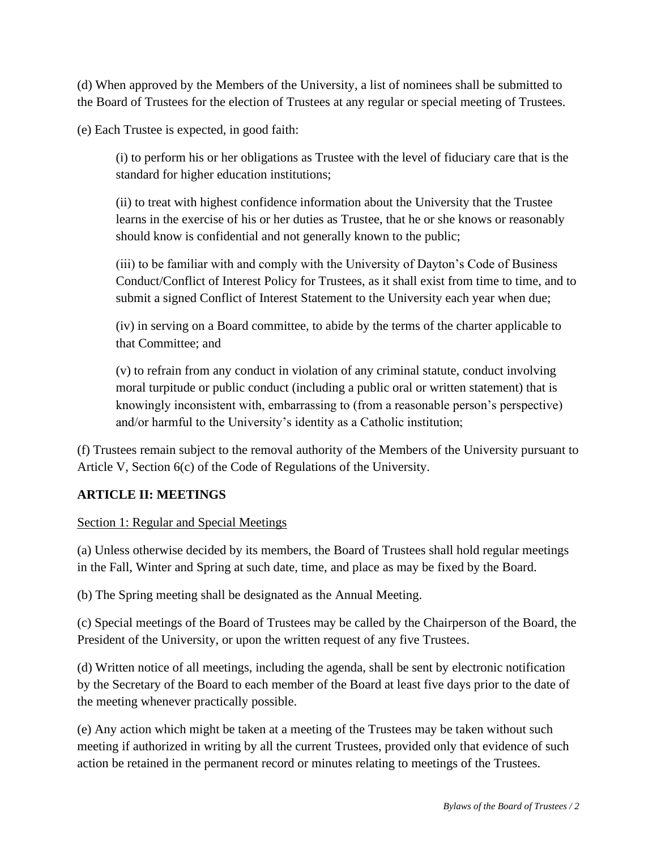(d) When approved by the Members of the University, a list of nominees shall be submitted to the Board of Trustees for the election of Trustees at any regular or special meeting of Trustees.

(e) Each Trustee is expected, in good faith:

(i) to perform his or her obligations as Trustee with the level of fiduciary care that is the standard for higher education institutions;

(ii) to treat with highest confidence information about the University that the Trustee learns in the exercise of his or her duties as Trustee, that he or she knows or reasonably should know is confidential and not generally known to the public;

(iii) to be familiar with and comply with the University of Dayton's Code of Business Conduct/Conflict of Interest Policy for Trustees, as it shall exist from time to time, and to submit a signed Conflict of Interest Statement to the University each year when due;

(iv) in serving on a Board committee, to abide by the terms of the charter applicable to that Committee; and

(v) to refrain from any conduct in violation of any criminal statute, conduct involving moral turpitude or public conduct (including a public oral or written statement) that is knowingly inconsistent with, embarrassing to (from a reasonable person's perspective) and/or harmful to the University's identity as a Catholic institution;

(f) Trustees remain subject to the removal authority of the Members of the University pursuant to Article V, Section 6(c) of the Code of Regulations of the University.

#### **ARTICLE II: MEETINGS**

Section 1: Regular and Special Meetings

(a) Unless otherwise decided by its members, the Board of Trustees shall hold regular meetings in the Fall, Winter and Spring at such date, time, and place as may be fixed by the Board.

(b) The Spring meeting shall be designated as the Annual Meeting.

(c) Special meetings of the Board of Trustees may be called by the Chairperson of the Board, the President of the University, or upon the written request of any five Trustees.

(d) Written notice of all meetings, including the agenda, shall be sent by electronic notification by the Secretary of the Board to each member of the Board at least five days prior to the date of the meeting whenever practically possible.

(e) Any action which might be taken at a meeting of the Trustees may be taken without such meeting if authorized in writing by all the current Trustees, provided only that evidence of such action be retained in the permanent record or minutes relating to meetings of the Trustees.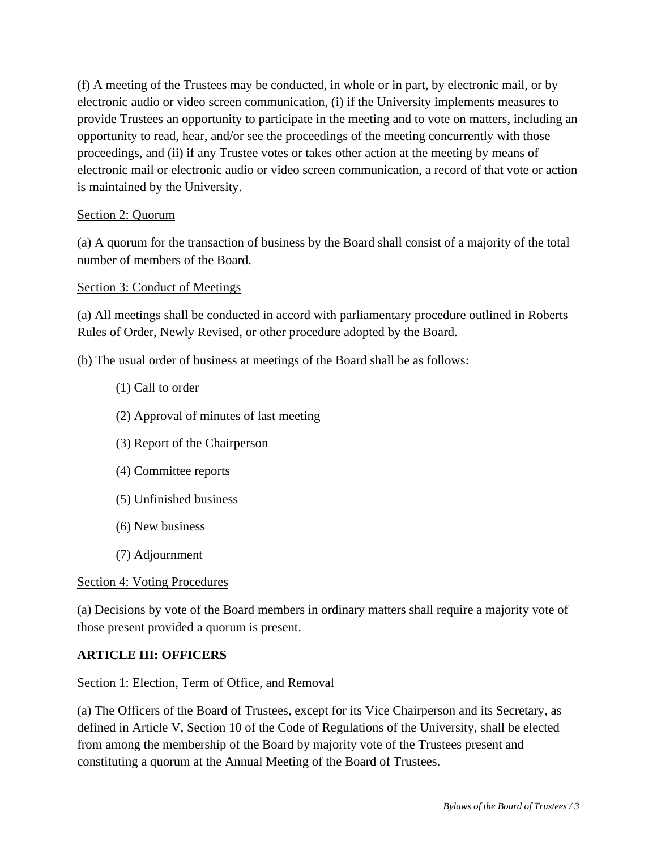(f) A meeting of the Trustees may be conducted, in whole or in part, by electronic mail, or by electronic audio or video screen communication, (i) if the University implements measures to provide Trustees an opportunity to participate in the meeting and to vote on matters, including an opportunity to read, hear, and/or see the proceedings of the meeting concurrently with those proceedings, and (ii) if any Trustee votes or takes other action at the meeting by means of electronic mail or electronic audio or video screen communication, a record of that vote or action is maintained by the University.

#### Section 2: Quorum

(a) A quorum for the transaction of business by the Board shall consist of a majority of the total number of members of the Board.

#### Section 3: Conduct of Meetings

(a) All meetings shall be conducted in accord with parliamentary procedure outlined in Roberts Rules of Order, Newly Revised, or other procedure adopted by the Board.

(b) The usual order of business at meetings of the Board shall be as follows:

- (1) Call to order
- (2) Approval of minutes of last meeting
- (3) Report of the Chairperson
- (4) Committee reports
- (5) Unfinished business
- (6) New business
- (7) Adjournment

#### Section 4: Voting Procedures

(a) Decisions by vote of the Board members in ordinary matters shall require a majority vote of those present provided a quorum is present.

#### **ARTICLE III: OFFICERS**

#### Section 1: Election, Term of Office, and Removal

(a) The Officers of the Board of Trustees, except for its Vice Chairperson and its Secretary, as defined in Article V, Section 10 of the Code of Regulations of the University, shall be elected from among the membership of the Board by majority vote of the Trustees present and constituting a quorum at the Annual Meeting of the Board of Trustees.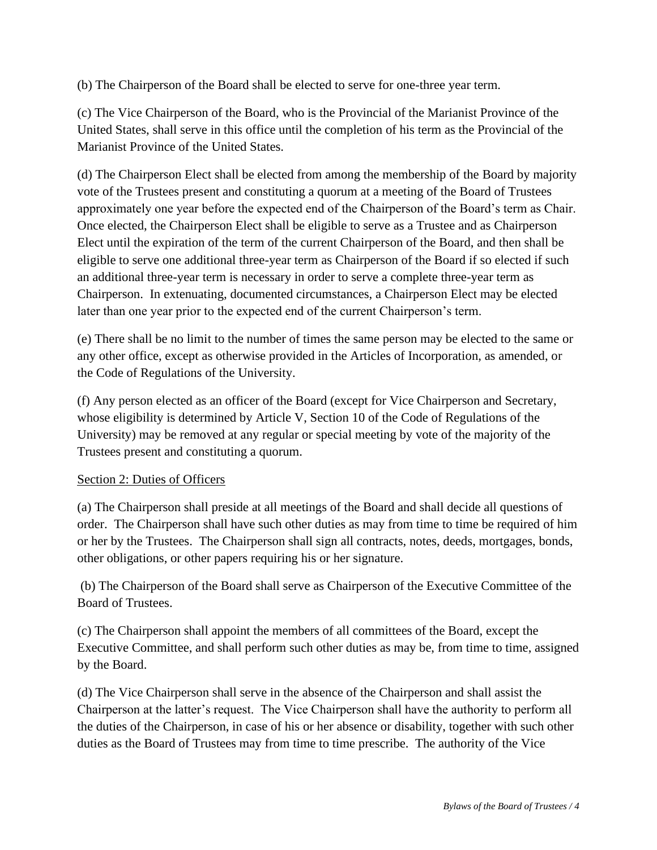(b) The Chairperson of the Board shall be elected to serve for one-three year term.

(c) The Vice Chairperson of the Board, who is the Provincial of the Marianist Province of the United States, shall serve in this office until the completion of his term as the Provincial of the Marianist Province of the United States.

(d) The Chairperson Elect shall be elected from among the membership of the Board by majority vote of the Trustees present and constituting a quorum at a meeting of the Board of Trustees approximately one year before the expected end of the Chairperson of the Board's term as Chair. Once elected, the Chairperson Elect shall be eligible to serve as a Trustee and as Chairperson Elect until the expiration of the term of the current Chairperson of the Board, and then shall be eligible to serve one additional three-year term as Chairperson of the Board if so elected if such an additional three-year term is necessary in order to serve a complete three-year term as Chairperson. In extenuating, documented circumstances, a Chairperson Elect may be elected later than one year prior to the expected end of the current Chairperson's term.

(e) There shall be no limit to the number of times the same person may be elected to the same or any other office, except as otherwise provided in the Articles of Incorporation, as amended, or the Code of Regulations of the University.

(f) Any person elected as an officer of the Board (except for Vice Chairperson and Secretary, whose eligibility is determined by Article V, Section 10 of the Code of Regulations of the University) may be removed at any regular or special meeting by vote of the majority of the Trustees present and constituting a quorum.

#### Section 2: Duties of Officers

(a) The Chairperson shall preside at all meetings of the Board and shall decide all questions of order. The Chairperson shall have such other duties as may from time to time be required of him or her by the Trustees. The Chairperson shall sign all contracts, notes, deeds, mortgages, bonds, other obligations, or other papers requiring his or her signature.

(b) The Chairperson of the Board shall serve as Chairperson of the Executive Committee of the Board of Trustees.

(c) The Chairperson shall appoint the members of all committees of the Board, except the Executive Committee, and shall perform such other duties as may be, from time to time, assigned by the Board.

(d) The Vice Chairperson shall serve in the absence of the Chairperson and shall assist the Chairperson at the latter's request. The Vice Chairperson shall have the authority to perform all the duties of the Chairperson, in case of his or her absence or disability, together with such other duties as the Board of Trustees may from time to time prescribe. The authority of the Vice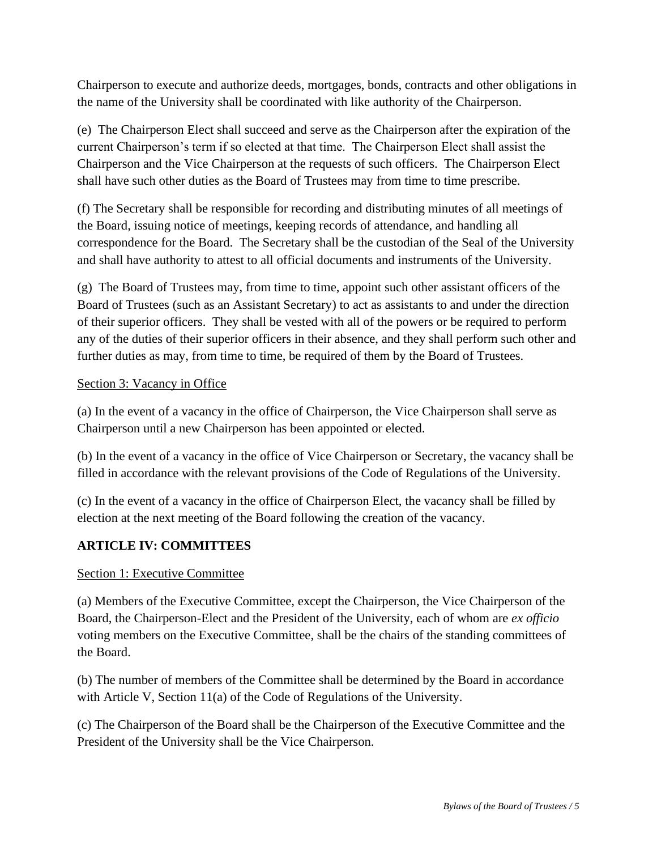Chairperson to execute and authorize deeds, mortgages, bonds, contracts and other obligations in the name of the University shall be coordinated with like authority of the Chairperson.

(e) The Chairperson Elect shall succeed and serve as the Chairperson after the expiration of the current Chairperson's term if so elected at that time. The Chairperson Elect shall assist the Chairperson and the Vice Chairperson at the requests of such officers. The Chairperson Elect shall have such other duties as the Board of Trustees may from time to time prescribe.

(f) The Secretary shall be responsible for recording and distributing minutes of all meetings of the Board, issuing notice of meetings, keeping records of attendance, and handling all correspondence for the Board. The Secretary shall be the custodian of the Seal of the University and shall have authority to attest to all official documents and instruments of the University.

(g) The Board of Trustees may, from time to time, appoint such other assistant officers of the Board of Trustees (such as an Assistant Secretary) to act as assistants to and under the direction of their superior officers. They shall be vested with all of the powers or be required to perform any of the duties of their superior officers in their absence, and they shall perform such other and further duties as may, from time to time, be required of them by the Board of Trustees.

#### Section 3: Vacancy in Office

(a) In the event of a vacancy in the office of Chairperson, the Vice Chairperson shall serve as Chairperson until a new Chairperson has been appointed or elected.

(b) In the event of a vacancy in the office of Vice Chairperson or Secretary, the vacancy shall be filled in accordance with the relevant provisions of the Code of Regulations of the University.

(c) In the event of a vacancy in the office of Chairperson Elect, the vacancy shall be filled by election at the next meeting of the Board following the creation of the vacancy.

#### **ARTICLE IV: COMMITTEES**

#### Section 1: Executive Committee

(a) Members of the Executive Committee, except the Chairperson, the Vice Chairperson of the Board, the Chairperson-Elect and the President of the University, each of whom are *ex officio*  voting members on the Executive Committee, shall be the chairs of the standing committees of the Board.

(b) The number of members of the Committee shall be determined by the Board in accordance with Article V, Section 11(a) of the Code of Regulations of the University.

(c) The Chairperson of the Board shall be the Chairperson of the Executive Committee and the President of the University shall be the Vice Chairperson.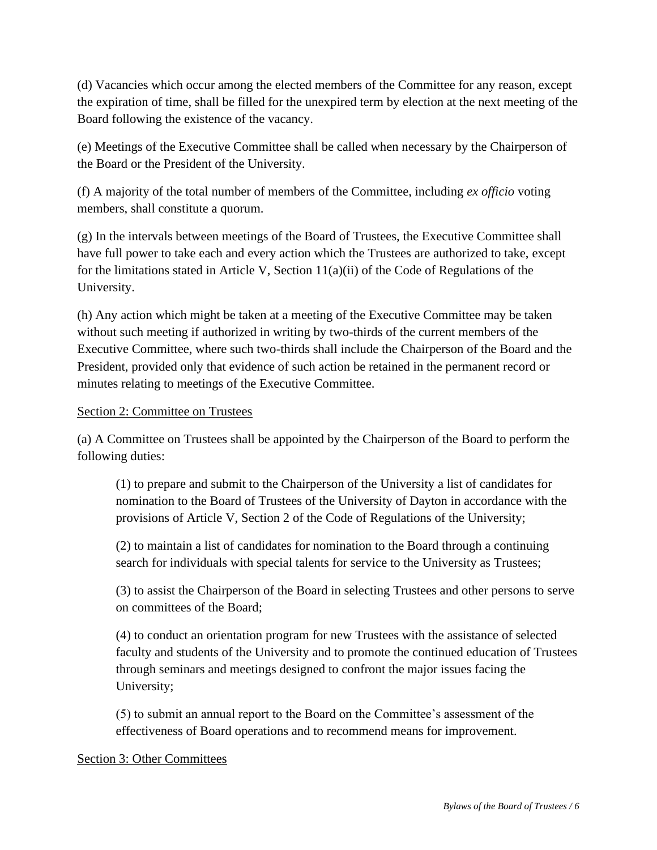(d) Vacancies which occur among the elected members of the Committee for any reason, except the expiration of time, shall be filled for the unexpired term by election at the next meeting of the Board following the existence of the vacancy.

(e) Meetings of the Executive Committee shall be called when necessary by the Chairperson of the Board or the President of the University.

(f) A majority of the total number of members of the Committee, including *ex officio* voting members, shall constitute a quorum.

(g) In the intervals between meetings of the Board of Trustees, the Executive Committee shall have full power to take each and every action which the Trustees are authorized to take, except for the limitations stated in Article V, Section 11(a)(ii) of the Code of Regulations of the University.

(h) Any action which might be taken at a meeting of the Executive Committee may be taken without such meeting if authorized in writing by two-thirds of the current members of the Executive Committee, where such two-thirds shall include the Chairperson of the Board and the President, provided only that evidence of such action be retained in the permanent record or minutes relating to meetings of the Executive Committee.

#### Section 2: Committee on Trustees

(a) A Committee on Trustees shall be appointed by the Chairperson of the Board to perform the following duties:

(1) to prepare and submit to the Chairperson of the University a list of candidates for nomination to the Board of Trustees of the University of Dayton in accordance with the provisions of Article V, Section 2 of the Code of Regulations of the University;

(2) to maintain a list of candidates for nomination to the Board through a continuing search for individuals with special talents for service to the University as Trustees;

(3) to assist the Chairperson of the Board in selecting Trustees and other persons to serve on committees of the Board;

(4) to conduct an orientation program for new Trustees with the assistance of selected faculty and students of the University and to promote the continued education of Trustees through seminars and meetings designed to confront the major issues facing the University;

(5) to submit an annual report to the Board on the Committee's assessment of the effectiveness of Board operations and to recommend means for improvement.

#### Section 3: Other Committees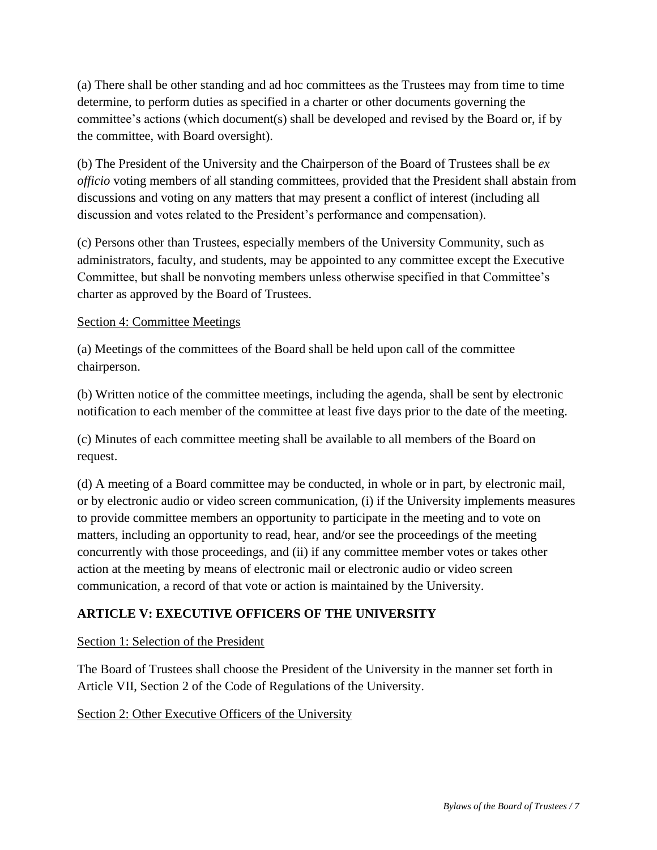(a) There shall be other standing and ad hoc committees as the Trustees may from time to time determine, to perform duties as specified in a charter or other documents governing the committee's actions (which document(s) shall be developed and revised by the Board or, if by the committee, with Board oversight).

(b) The President of the University and the Chairperson of the Board of Trustees shall be *ex officio* voting members of all standing committees, provided that the President shall abstain from discussions and voting on any matters that may present a conflict of interest (including all discussion and votes related to the President's performance and compensation).

(c) Persons other than Trustees, especially members of the University Community, such as administrators, faculty, and students, may be appointed to any committee except the Executive Committee, but shall be nonvoting members unless otherwise specified in that Committee's charter as approved by the Board of Trustees.

#### Section 4: Committee Meetings

(a) Meetings of the committees of the Board shall be held upon call of the committee chairperson.

(b) Written notice of the committee meetings, including the agenda, shall be sent by electronic notification to each member of the committee at least five days prior to the date of the meeting.

(c) Minutes of each committee meeting shall be available to all members of the Board on request.

(d) A meeting of a Board committee may be conducted, in whole or in part, by electronic mail, or by electronic audio or video screen communication, (i) if the University implements measures to provide committee members an opportunity to participate in the meeting and to vote on matters, including an opportunity to read, hear, and/or see the proceedings of the meeting concurrently with those proceedings, and (ii) if any committee member votes or takes other action at the meeting by means of electronic mail or electronic audio or video screen communication, a record of that vote or action is maintained by the University.

# **ARTICLE V: EXECUTIVE OFFICERS OF THE UNIVERSITY**

#### Section 1: Selection of the President

The Board of Trustees shall choose the President of the University in the manner set forth in Article VII, Section 2 of the Code of Regulations of the University.

#### Section 2: Other Executive Officers of the University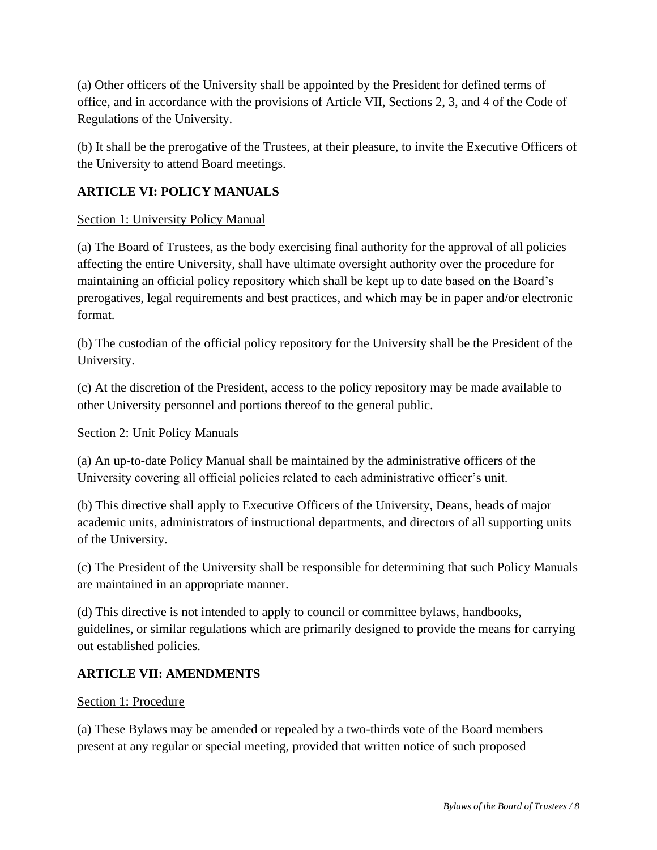(a) Other officers of the University shall be appointed by the President for defined terms of office, and in accordance with the provisions of Article VII, Sections 2, 3, and 4 of the Code of Regulations of the University.

(b) It shall be the prerogative of the Trustees, at their pleasure, to invite the Executive Officers of the University to attend Board meetings.

## **ARTICLE VI: POLICY MANUALS**

#### Section 1: University Policy Manual

(a) The Board of Trustees, as the body exercising final authority for the approval of all policies affecting the entire University, shall have ultimate oversight authority over the procedure for maintaining an official policy repository which shall be kept up to date based on the Board's prerogatives, legal requirements and best practices, and which may be in paper and/or electronic format.

(b) The custodian of the official policy repository for the University shall be the President of the University.

(c) At the discretion of the President, access to the policy repository may be made available to other University personnel and portions thereof to the general public.

#### Section 2: Unit Policy Manuals

(a) An up-to-date Policy Manual shall be maintained by the administrative officers of the University covering all official policies related to each administrative officer's unit.

(b) This directive shall apply to Executive Officers of the University, Deans, heads of major academic units, administrators of instructional departments, and directors of all supporting units of the University.

(c) The President of the University shall be responsible for determining that such Policy Manuals are maintained in an appropriate manner.

(d) This directive is not intended to apply to council or committee bylaws, handbooks, guidelines, or similar regulations which are primarily designed to provide the means for carrying out established policies.

#### **ARTICLE VII: AMENDMENTS**

#### Section 1: Procedure

(a) These Bylaws may be amended or repealed by a two-thirds vote of the Board members present at any regular or special meeting, provided that written notice of such proposed